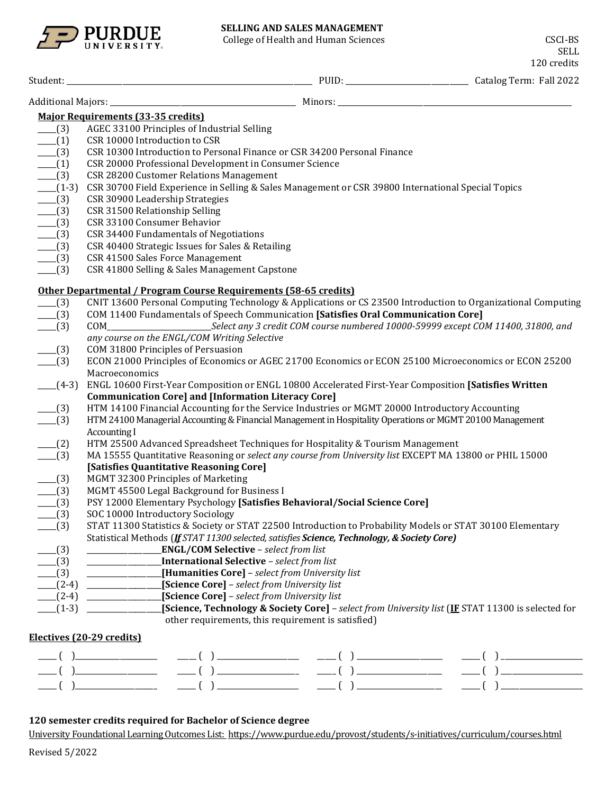

College of Health and Human Sciences CSCI-BS

SELL 120 credits

|                   | <b>Major Requirements (33-35 credits)</b>                                                                    |
|-------------------|--------------------------------------------------------------------------------------------------------------|
| $-$ (3)           | AGEC 33100 Principles of Industrial Selling                                                                  |
| $-$ (1)           | CSR 10000 Introduction to CSR                                                                                |
| $-$ (3)           | CSR 10300 Introduction to Personal Finance or CSR 34200 Personal Finance                                     |
| $- (1)$           | CSR 20000 Professional Development in Consumer Science                                                       |
| $-$ (3)           | CSR 28200 Customer Relations Management                                                                      |
| $-$ (1-3)         | CSR 30700 Field Experience in Selling & Sales Management or CSR 39800 International Special Topics           |
| $-$ (3)           | CSR 30900 Leadership Strategies                                                                              |
| $-$ (3)           | CSR 31500 Relationship Selling                                                                               |
| $-$ (3)           | CSR 33100 Consumer Behavior                                                                                  |
| $-$ (3)           | CSR 34400 Fundamentals of Negotiations                                                                       |
| $-$ (3)           | CSR 40400 Strategic Issues for Sales & Retailing                                                             |
| $-$ (3)           | CSR 41500 Sales Force Management                                                                             |
| $-$ (3)           | CSR 41800 Selling & Sales Management Capstone                                                                |
|                   | Other Departmental / Program Course Requirements (58-65 credits)                                             |
| $-$ (3)           | CNIT 13600 Personal Computing Technology & Applications or CS 23500 Introduction to Organizational Computing |
| $\frac{1}{2}$ (3) | <b>COM 11400 Fundamentals of Speech Communication [Satisfies Oral Communication Core]</b>                    |
| $-$ (3)           |                                                                                                              |
|                   | any course on the ENGL/COM Writing Selective                                                                 |
| $-$ (3)           | COM 31800 Principles of Persuasion                                                                           |
| $-$ (3)           | ECON 21000 Principles of Economics or AGEC 21700 Economics or ECON 25100 Microeconomics or ECON 25200        |
|                   | Macroeconomics                                                                                               |
| $- (4-3)$         | ENGL 10600 First-Year Composition or ENGL 10800 Accelerated First-Year Composition [Satisfies Written        |
|                   | <b>Communication Core] and [Information Literacy Core]</b>                                                   |
| $-$ (3)           | HTM 14100 Financial Accounting for the Service Industries or MGMT 20000 Introductory Accounting              |
| $- (3)$           | HTM 24100 Managerial Accounting & Financial Management in Hospitality Operations or MGMT 20100 Management    |
|                   | <b>Accounting I</b>                                                                                          |
| $-$ (2)           | HTM 25500 Advanced Spreadsheet Techniques for Hospitality & Tourism Management                               |
| $\sqrt{3}$        | MA 15555 Quantitative Reasoning or select any course from University list EXCEPT MA 13800 or PHIL 15000      |
|                   | [Satisfies Quantitative Reasoning Core]                                                                      |
| $-$ (3)           | MGMT 32300 Principles of Marketing                                                                           |
| $-$ (3)           | MGMT 45500 Legal Background for Business I                                                                   |
| $-$ (3)           | PSY 12000 Elementary Psychology [Satisfies Behavioral/Social Science Core]                                   |
| (3)               | SOC 10000 Introductory Sociology                                                                             |
| (3)               | STAT 11300 Statistics & Society or STAT 22500 Introduction to Probability Models or STAT 30100 Elementary    |
|                   | Statistical Methods (If STAT 11300 selected, satisfies Science, Technology, & Society Core)                  |
| $-$ (3)           | _____________________________ENGL/COM Selective - select from list                                           |
| $-$ (3)           | <b>International Selective</b> - select from list                                                            |
| $-$ (3)           | [Humanities Core] - select from University list                                                              |
| $-$ (2-4)         | <i>_______________</i> [Science Core] - select from University list                                          |
|                   | [Science Core] - select from University list                                                                 |
| $- (1-3)$         | [Science, Technology & Society Core] - select from University list (IF STAT 11300 is selected for            |
|                   | other requirements, this requirement is satisfied)                                                           |
|                   | Electives (20-29 credits)                                                                                    |
|                   |                                                                                                              |
|                   |                                                                                                              |

| $\sqrt{1}$                         |                             |  |
|------------------------------------|-----------------------------|--|
| $\sim$ $\sim$ $\sim$ $\sim$ $\sim$ | $\sim$ $\sim$ $\sim$ $\sim$ |  |

## **120 semester credits required for Bachelor of Science degree**

University Foundational Learning Outcomes List:<https://www.purdue.edu/provost/students/s-initiatives/curriculum/courses.html>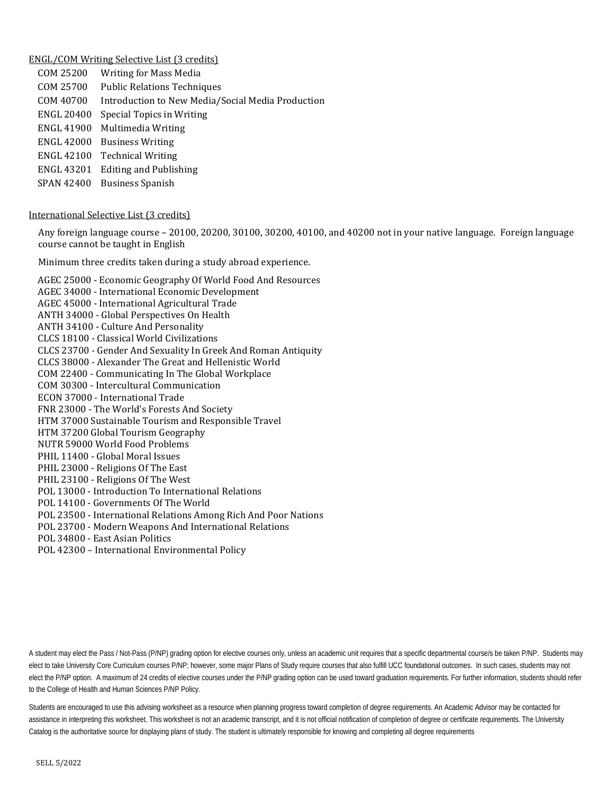## ENGL/COM Writing Selective List (3 credits)

| COM 25200         | <b>Writing for Mass Media</b>                     |
|-------------------|---------------------------------------------------|
| COM 25700         | <b>Public Relations Techniques</b>                |
| COM 40700         | Introduction to New Media/Social Media Production |
| ENGL 20400        | Special Topics in Writing                         |
| <b>ENGL 41900</b> | Multimedia Writing                                |
| <b>ENGL 42000</b> | <b>Business Writing</b>                           |
| <b>ENGL 42100</b> | <b>Technical Writing</b>                          |
| ENGL 43201        | <b>Editing and Publishing</b>                     |
| <b>SPAN 42400</b> | <b>Business Spanish</b>                           |
|                   |                                                   |

## International Selective List (3 credits)

Any foreign language course – 20100, 20200, 30100, 30200, 40100, and 40200 not in your native language. Foreign language course cannot be taught in English

Minimum three credits taken during a study abroad experience.

AGEC 25000 - [Economic Geography Of World Food And Resources](http://catalog.purdue.edu/preview_program.php?catoid=7&poid=6459&returnto=2935) AGEC 34000 - [International Economic Development](http://catalog.purdue.edu/preview_program.php?catoid=7&poid=6459&returnto=2935) AGEC 45000 - [International Agricultural Trade](http://catalog.purdue.edu/preview_program.php?catoid=7&poid=6459&returnto=2935) ANTH 34000 - [Global Perspectives On Health](http://catalog.purdue.edu/preview_program.php?catoid=7&poid=6459&returnto=2935) ANTH 34100 - [Culture And Personality](http://catalog.purdue.edu/preview_program.php?catoid=7&poid=6459&returnto=2935) CLCS 18100 - [Classical World Civilizations](http://catalog.purdue.edu/preview_program.php?catoid=7&poid=6459&returnto=2935) CLCS 23700 - [Gender And Sexuality In Greek And Roman Antiquity](http://catalog.purdue.edu/preview_program.php?catoid=7&poid=6459&returnto=2935) CLCS 38000 - [Alexander The Great and Hellenistic World](http://catalog.purdue.edu/preview_program.php?catoid=7&poid=6459&returnto=2935) COM 22400 - [Communicating In The Global Workplace](http://catalog.purdue.edu/preview_program.php?catoid=7&poid=6459&returnto=2935) COM 30300 - [Intercultural Communication](http://catalog.purdue.edu/preview_program.php?catoid=7&poid=6459&returnto=2935) ECON 37000 - [International Trade](http://catalog.purdue.edu/preview_program.php?catoid=7&poid=6459&returnto=2935) FNR 23000 - The World['s Forests And Society](http://catalog.purdue.edu/preview_program.php?catoid=7&poid=6459&returnto=2935) HTM 37000 Sustainable Tourism and Responsible Travel HTM 37200 Global Tourism Geography NUTR 59000 World Food Problems PHIL 11400 - [Global Moral Issues](http://catalog.purdue.edu/preview_program.php?catoid=7&poid=6459&returnto=2935) PHIL 23000 - [Religions Of The East](http://catalog.purdue.edu/preview_program.php?catoid=7&poid=6459&returnto=2935) PHIL 23100 - [Religions Of The West](http://catalog.purdue.edu/preview_program.php?catoid=7&poid=6459&returnto=2935) POL 13000 - [Introduction To International Relations](http://catalog.purdue.edu/preview_program.php?catoid=7&poid=6459&returnto=2935) POL 14100 - [Governments Of The World](http://catalog.purdue.edu/preview_program.php?catoid=7&poid=6459&returnto=2935) POL 23500 - [International Relations Among Rich And Poor Nations](http://catalog.purdue.edu/preview_program.php?catoid=7&poid=6459&returnto=2935) POL 23700 - [Modern Weapons And International Relations](http://catalog.purdue.edu/preview_program.php?catoid=7&poid=6459&returnto=2935) POL 34800 - [East Asian Politics](http://catalog.purdue.edu/preview_program.php?catoid=7&poid=6459&returnto=2935) POL 42300 – International Environmental Policy

A student may elect the Pass / Not-Pass (P/NP) grading option for elective courses only, unless an academic unit requires that a specific departmental course/s be taken P/NP. Students may elect to take University Core Curriculum courses P/NP; however, some major Plans of Study require courses that also fulfill UCC foundational outcomes. In such cases, students may not elect the P/NP option. A maximum of 24 credits of elective courses under the P/NP grading option can be used toward graduation requirements. For further information, students should refer to the College of Health and Human Sciences P/NP Policy.

Students are encouraged to use this advising worksheet as a resource when planning progress toward completion of degree requirements. An Academic Advisor may be contacted for assistance in interpreting this worksheet. This worksheet is not an academic transcript, and it is not official notification of completion of degree or certificate requirements. The University Catalog is the authoritative source for displaying plans of study. The student is ultimately responsible for knowing and completing all degree requirements